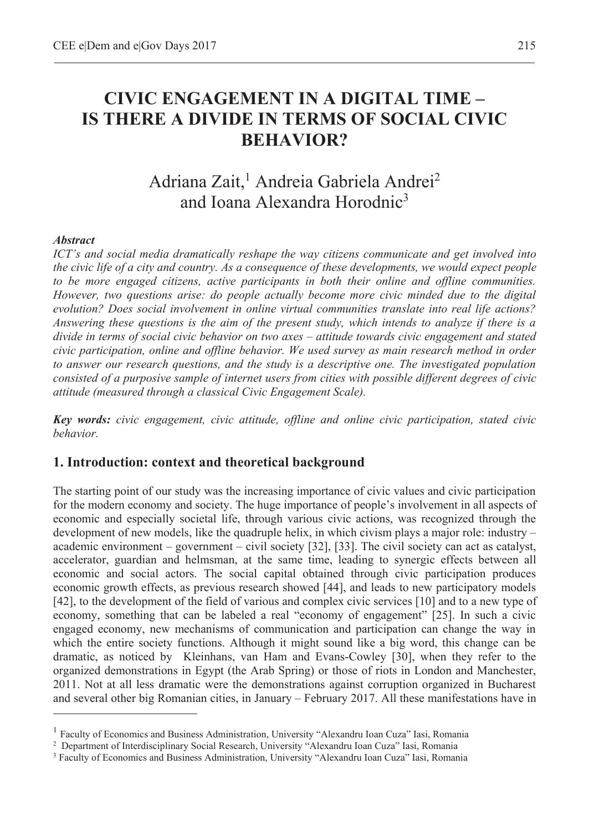# **CIVIC ENGAGEMENT IN A DIGITAL TIME – IS THERE A DIVIDE IN TERMS OF SOCIAL CIVIC BEHAVIOR?**

# Adriana Zait,<sup>1</sup> Andreia Gabriela Andrei<sup>2</sup> and Ioana Alexandra Horodnic3

#### *Abstract*

 $\overline{a}$ 

*ICT's and social media dramatically reshape the way citizens communicate and get involved into the civic life of a city and country. As a consequence of these developments, we would expect people to be more engaged citizens, active participants in both their online and offline communities. However, two questions arise: do people actually become more civic minded due to the digital evolution? Does social involvement in online virtual communities translate into real life actions? Answering these questions is the aim of the present study, which intends to analyze if there is a divide in terms of social civic behavior on two axes – attitude towards civic engagement and stated civic participation, online and offline behavior. We used survey as main research method in order to answer our research questions, and the study is a descriptive one. The investigated population consisted of a purposive sample of internet users from cities with possible different degrees of civic attitude (measured through a classical Civic Engagement Scale).* 

*Key words: civic engagement, civic attitude, offline and online civic participation, stated civic behavior.* 

#### **1. Introduction: context and theoretical background**

The starting point of our study was the increasing importance of civic values and civic participation for the modern economy and society. The huge importance of people's involvement in all aspects of economic and especially societal life, through various civic actions, was recognized through the development of new models, like the quadruple helix, in which civism plays a major role: industry – academic environment – government – civil society [32], [33]. The civil society can act as catalyst, accelerator, guardian and helmsman, at the same time, leading to synergic effects between all economic and social actors. The social capital obtained through civic participation produces economic growth effects, as previous research showed [44], and leads to new participatory models [42], to the development of the field of various and complex civic services [10] and to a new type of economy, something that can be labeled a real "economy of engagement" [25]. In such a civic engaged economy, new mechanisms of communication and participation can change the way in which the entire society functions. Although it might sound like a big word, this change can be dramatic, as noticed by Kleinhans, van Ham and Evans-Cowley [30], when they refer to the organized demonstrations in Egypt (the Arab Spring) or those of riots in London and Manchester, 2011. Not at all less dramatic were the demonstrations against corruption organized in Bucharest and several other big Romanian cities, in January – February 2017. All these manifestations have in

<sup>&</sup>lt;sup>1</sup> Faculty of Economics and Business Administration, University "Alexandru Ioan Cuza" Iasi, Romania

<sup>&</sup>lt;sup>2</sup> Department of Interdisciplinary Social Research, University "Alexandru Ioan Cuza" Iasi, Romania

<sup>&</sup>lt;sup>3</sup> Faculty of Economics and Business Administration, University "Alexandru Ioan Cuza" Iasi, Romania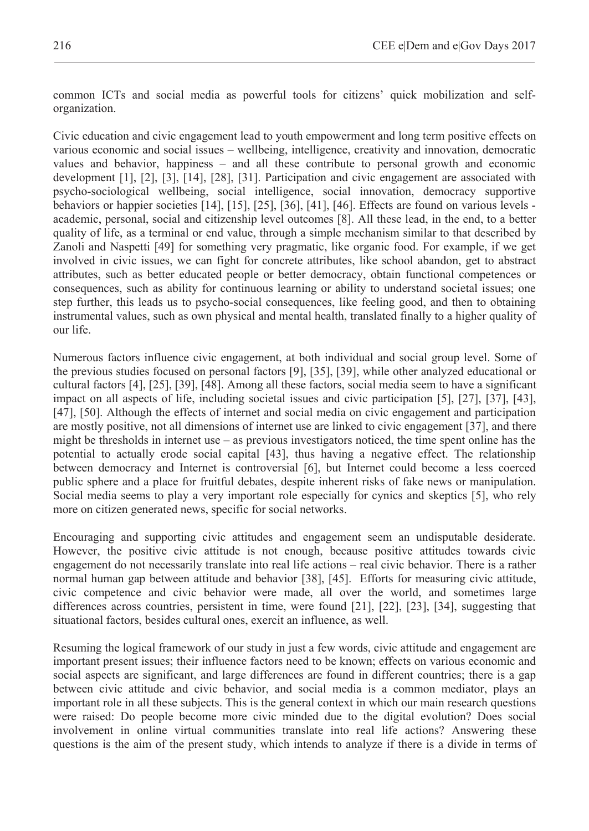common ICTs and social media as powerful tools for citizens' quick mobilization and selforganization.

Civic education and civic engagement lead to youth empowerment and long term positive effects on various economic and social issues – wellbeing, intelligence, creativity and innovation, democratic values and behavior, happiness – and all these contribute to personal growth and economic development [1], [2], [3], [14], [28], [31]. Participation and civic engagement are associated with psycho-sociological wellbeing, social intelligence, social innovation, democracy supportive behaviors or happier societies [14], [15], [25], [36], [41], [46]. Effects are found on various levels academic, personal, social and citizenship level outcomes [8]. All these lead, in the end, to a better quality of life, as a terminal or end value, through a simple mechanism similar to that described by Zanoli and Naspetti [49] for something very pragmatic, like organic food. For example, if we get involved in civic issues, we can fight for concrete attributes, like school abandon, get to abstract attributes, such as better educated people or better democracy, obtain functional competences or consequences, such as ability for continuous learning or ability to understand societal issues; one step further, this leads us to psycho-social consequences, like feeling good, and then to obtaining instrumental values, such as own physical and mental health, translated finally to a higher quality of our life.

Numerous factors influence civic engagement, at both individual and social group level. Some of the previous studies focused on personal factors [9], [35], [39], while other analyzed educational or cultural factors [4], [25], [39], [48]. Among all these factors, social media seem to have a significant impact on all aspects of life, including societal issues and civic participation [5], [27], [37], [43], [47], [50]. Although the effects of internet and social media on civic engagement and participation are mostly positive, not all dimensions of internet use are linked to civic engagement [37], and there might be thresholds in internet use – as previous investigators noticed, the time spent online has the potential to actually erode social capital [43], thus having a negative effect. The relationship between democracy and Internet is controversial [6], but Internet could become a less coerced public sphere and a place for fruitful debates, despite inherent risks of fake news or manipulation. Social media seems to play a very important role especially for cynics and skeptics [5], who rely more on citizen generated news, specific for social networks.

Encouraging and supporting civic attitudes and engagement seem an undisputable desiderate. However, the positive civic attitude is not enough, because positive attitudes towards civic engagement do not necessarily translate into real life actions – real civic behavior. There is a rather normal human gap between attitude and behavior [38], [45]. Efforts for measuring civic attitude, civic competence and civic behavior were made, all over the world, and sometimes large differences across countries, persistent in time, were found [21], [22], [23], [34], suggesting that situational factors, besides cultural ones, exercit an influence, as well.

Resuming the logical framework of our study in just a few words, civic attitude and engagement are important present issues; their influence factors need to be known; effects on various economic and social aspects are significant, and large differences are found in different countries; there is a gap between civic attitude and civic behavior, and social media is a common mediator, plays an important role in all these subjects. This is the general context in which our main research questions were raised: Do people become more civic minded due to the digital evolution? Does social involvement in online virtual communities translate into real life actions? Answering these questions is the aim of the present study, which intends to analyze if there is a divide in terms of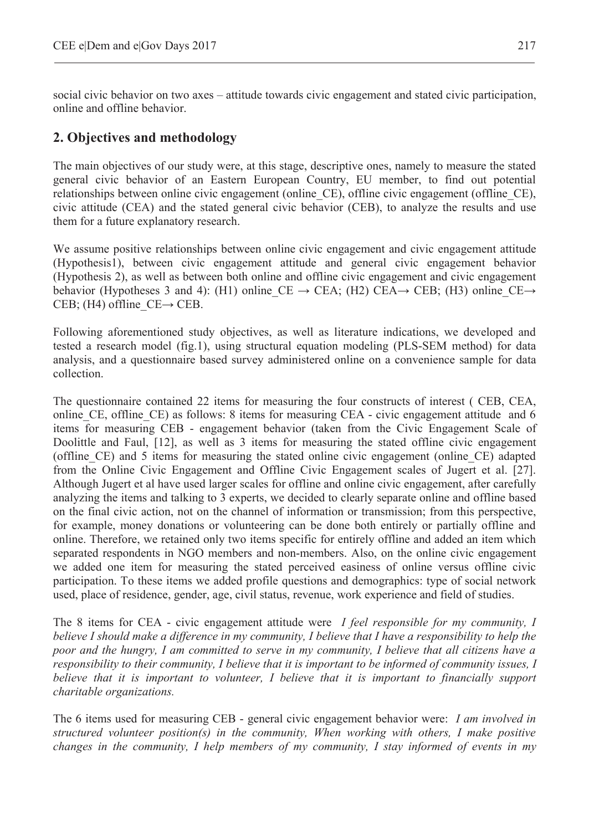social civic behavior on two axes – attitude towards civic engagement and stated civic participation, online and offline behavior.

## **2. Objectives and methodology**

The main objectives of our study were, at this stage, descriptive ones, namely to measure the stated general civic behavior of an Eastern European Country, EU member, to find out potential relationships between online civic engagement (online\_CE), offline civic engagement (offline\_CE), civic attitude (CEA) and the stated general civic behavior (CEB), to analyze the results and use them for a future explanatory research.

We assume positive relationships between online civic engagement and civic engagement attitude (Hypothesis1), between civic engagement attitude and general civic engagement behavior (Hypothesis 2), as well as between both online and offline civic engagement and civic engagement behavior (Hypotheses 3 and 4): (H1) online CE  $\rightarrow$  CEA; (H2) CEA $\rightarrow$  CEB; (H3) online CE $\rightarrow$ CEB; (H4) offline  $CE \rightarrow CEB$ .

Following aforementioned study objectives, as well as literature indications, we developed and tested a research model (fig.1), using structural equation modeling (PLS-SEM method) for data analysis, and a questionnaire based survey administered online on a convenience sample for data collection.

The questionnaire contained 22 items for measuring the four constructs of interest ( CEB, CEA, online CE, offline CE) as follows: 8 items for measuring CEA - civic engagement attitude and 6 items for measuring CEB - engagement behavior (taken from the Civic Engagement Scale of Doolittle and Faul, [12], as well as 3 items for measuring the stated offline civic engagement (offline\_CE) and 5 items for measuring the stated online civic engagement (online\_CE) adapted from the Online Civic Engagement and Offline Civic Engagement scales of Jugert et al. [27]. Although Jugert et al have used larger scales for offline and online civic engagement, after carefully analyzing the items and talking to 3 experts, we decided to clearly separate online and offline based on the final civic action, not on the channel of information or transmission; from this perspective, for example, money donations or volunteering can be done both entirely or partially offline and online. Therefore, we retained only two items specific for entirely offline and added an item which separated respondents in NGO members and non-members. Also, on the online civic engagement we added one item for measuring the stated perceived easiness of online versus offline civic participation. To these items we added profile questions and demographics: type of social network used, place of residence, gender, age, civil status, revenue, work experience and field of studies.

The 8 items for CEA - civic engagement attitude were *I feel responsible for my community, I believe I should make a difference in my community, I believe that I have a responsibility to help the poor and the hungry, I am committed to serve in my community, I believe that all citizens have a responsibility to their community, I believe that it is important to be informed of community issues, I believe that it is important to volunteer, I believe that it is important to financially support charitable organizations.*

The 6 items used for measuring CEB - general civic engagement behavior were: *I am involved in structured volunteer position(s) in the community, When working with others, I make positive changes in the community, I help members of my community, I stay informed of events in my*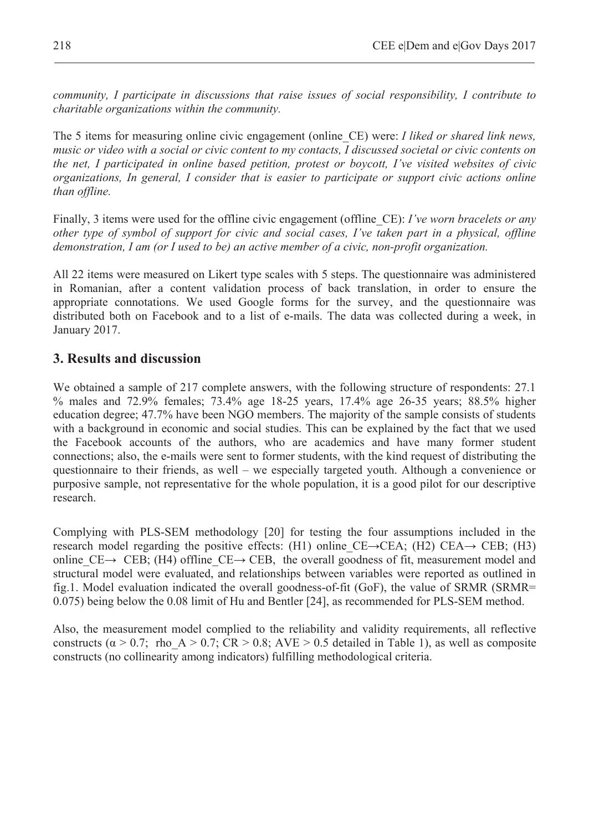*community, I participate in discussions that raise issues of social responsibility, I contribute to charitable organizations within the community.*

The 5 items for measuring online civic engagement (online\_CE) were: *I liked or shared link news, music or video with a social or civic content to my contacts, I discussed societal or civic contents on the net, I participated in online based petition, protest or boycott, I've visited websites of civic organizations, In general, I consider that is easier to participate or support civic actions online than offline.* 

Finally, 3 items were used for the offline civic engagement (offline\_CE): *I've worn bracelets or any other type of symbol of support for civic and social cases, I've taken part in a physical, offline demonstration, I am (or I used to be) an active member of a civic, non-profit organization.* 

All 22 items were measured on Likert type scales with 5 steps. The questionnaire was administered in Romanian, after a content validation process of back translation, in order to ensure the appropriate connotations. We used Google forms for the survey, and the questionnaire was distributed both on Facebook and to a list of e-mails. The data was collected during a week, in January 2017.

### **3. Results and discussion**

We obtained a sample of 217 complete answers, with the following structure of respondents: 27.1 % males and 72.9% females; 73.4% age 18-25 years, 17.4% age 26-35 years; 88.5% higher education degree; 47.7% have been NGO members. The majority of the sample consists of students with a background in economic and social studies. This can be explained by the fact that we used the Facebook accounts of the authors, who are academics and have many former student connections; also, the e-mails were sent to former students, with the kind request of distributing the questionnaire to their friends, as well – we especially targeted youth. Although a convenience or purposive sample, not representative for the whole population, it is a good pilot for our descriptive research.

Complying with PLS-SEM methodology [20] for testing the four assumptions included in the research model regarding the positive effects: (H1) online  $CE\rightarrow CEA$ ; (H2)  $CEA\rightarrow CEB$ ; (H3) online CE $\rightarrow$  CEB; (H4) offline CE $\rightarrow$  CEB, the overall goodness of fit, measurement model and structural model were evaluated, and relationships between variables were reported as outlined in fig.1. Model evaluation indicated the overall goodness-of-fit (GoF), the value of SRMR (SRMR= 0.075) being below the 0.08 limit of Hu and Bentler [24], as recommended for PLS-SEM method.

Also, the measurement model complied to the reliability and validity requirements, all reflective constructs ( $\alpha > 0.7$ ; rho A  $> 0.7$ ; CR  $> 0.8$ ; AVE  $> 0.5$  detailed in Table 1), as well as composite constructs (no collinearity among indicators) fulfilling methodological criteria.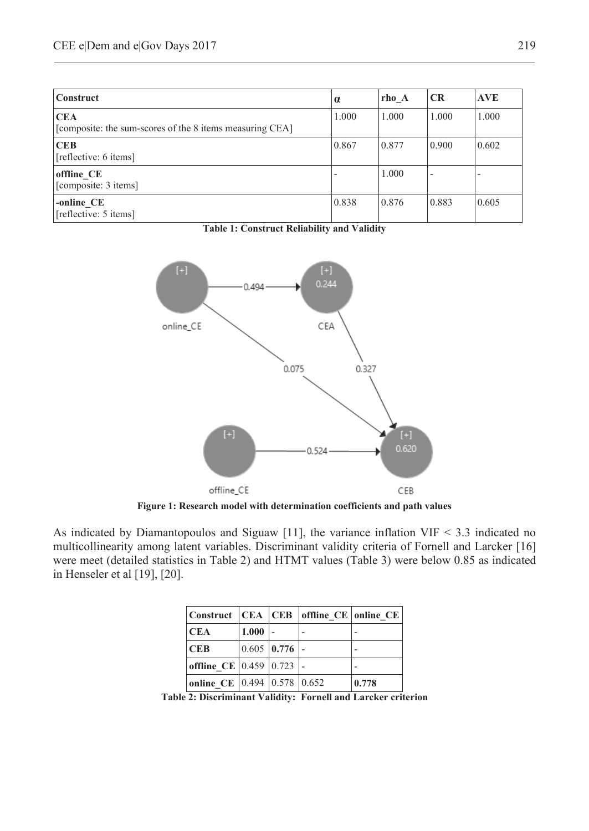| <b>Construct</b>                                                       | $\alpha$ | rho A | <b>CR</b>                | <b>AVE</b> |
|------------------------------------------------------------------------|----------|-------|--------------------------|------------|
| <b>CEA</b><br>[composite: the sum-scores of the 8 items measuring CEA] | 1.000    | 1.000 | 1.000                    | 1.000      |
| <b>CEB</b><br>[reflective: 6 items]                                    | 0.867    | 0.877 | 0.900                    | 0.602      |
| offline CE<br>[composite: 3 items]                                     |          | 1.000 | $\overline{\phantom{a}}$ |            |
| -online_CE<br>[reflective: 5 items]                                    | 0.838    | 0.876 | 0.883                    | 0.605      |

**Table 1: Construct Reliability and Validity**



**Figure 1: Research model with determination coefficients and path values** 

As indicated by Diamantopoulos and Siguaw [11], the variance inflation VIF < 3.3 indicated no multicollinearity among latent variables. Discriminant validity criteria of Fornell and Larcker [16] were meet (detailed statistics in Table 2) and HTMT values (Table 3) were below 0.85 as indicated in Henseler et al [19], [20].

| Construct   CEA   CEB   offline CE   online CE |       |                 |       |
|------------------------------------------------|-------|-----------------|-------|
| <b>CEA</b>                                     | 1.000 |                 |       |
| <b>CEB</b>                                     |       | $0.605$ 0.776 - |       |
| offline CE 0.459 $ 0.723 $ -                   |       |                 |       |
| online CE 0.494 $ 0.578 0.652$                 |       |                 | 0.778 |

**Table 2: Discriminant Validity: Fornell and Larcker criterion**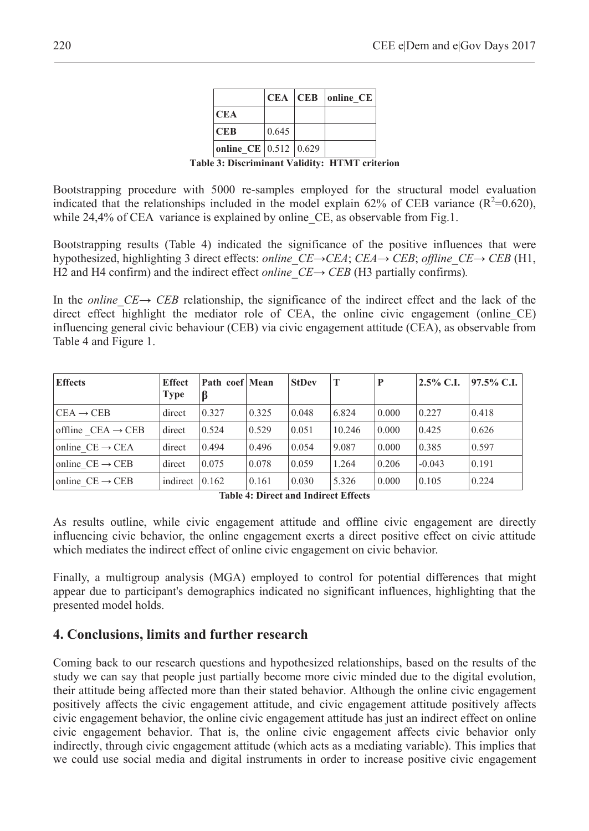|                       |       | CEA CEB online CE |
|-----------------------|-------|-------------------|
| <b>CEA</b>            |       |                   |
| <b>CEB</b>            | 0.645 |                   |
| online CE 0.512 0.629 |       |                   |

**Table 3: Discriminant Validity: HTMT criterion**

Bootstrapping procedure with 5000 re-samples employed for the structural model evaluation indicated that the relationships included in the model explain 62% of CEB variance  $(R^2=0.620)$ , while 24,4% of CEA variance is explained by online CE, as observable from Fig.1.

Bootstrapping results (Table 4) indicated the significance of the positive influences that were hypothesized, highlighting 3 direct effects: *online*  $CE \rightarrow CEA$ ;  $CEA \rightarrow CEB$ ; *offline*  $CE \rightarrow CEB$  (H1, H2 and H4 confirm) and the indirect effect *online*  $CE \rightarrow CEB$  (H3 partially confirms).

In the *online*  $CE \rightarrow CEB$  relationship, the significance of the indirect effect and the lack of the direct effect highlight the mediator role of CEA, the online civic engagement (online CE) influencing general civic behaviour (CEB) via civic engagement attitude (CEA), as observable from Table 4 and Figure 1.

| <b>Effects</b>                | <b>Effect</b><br><b>Type</b> | Path coef Mean<br>ß |       | <b>StDev</b> | T      | P     | $2.5\%$ C.I. | 97.5% C.I. |
|-------------------------------|------------------------------|---------------------|-------|--------------|--------|-------|--------------|------------|
| $CEA \rightarrow CEB$         | direct                       | 0.327               | 0.325 | 0.048        | 6.824  | 0.000 | 0.227        | 0.418      |
| offline $CEA \rightarrow CEB$ | direct                       | 0.524               | 0.529 | 0.051        | 10.246 | 0.000 | 0.425        | 0.626      |
| online $CE \rightarrow CEA$   | direct                       | 0.494               | 0.496 | 0.054        | 9.087  | 0.000 | 0.385        | 0.597      |
| online $CE \rightarrow CEB$   | direct                       | 0.075               | 0.078 | 0.059        | 1.264  | 0.206 | $-0.043$     | 0.191      |
| online $CE \rightarrow CEB$   | indirect $0.162$             |                     | 0.161 | 0.030        | 5.326  | 0.000 | 0.105        | 0.224      |

**Table 4: Direct and Indirect Effects**

As results outline, while civic engagement attitude and offline civic engagement are directly influencing civic behavior, the online engagement exerts a direct positive effect on civic attitude which mediates the indirect effect of online civic engagement on civic behavior.

Finally, a multigroup analysis (MGA) employed to control for potential differences that might appear due to participant's demographics indicated no significant influences, highlighting that the presented model holds.

#### **4. Conclusions, limits and further research**

Coming back to our research questions and hypothesized relationships, based on the results of the study we can say that people just partially become more civic minded due to the digital evolution, their attitude being affected more than their stated behavior. Although the online civic engagement positively affects the civic engagement attitude, and civic engagement attitude positively affects civic engagement behavior, the online civic engagement attitude has just an indirect effect on online civic engagement behavior. That is, the online civic engagement affects civic behavior only indirectly, through civic engagement attitude (which acts as a mediating variable). This implies that we could use social media and digital instruments in order to increase positive civic engagement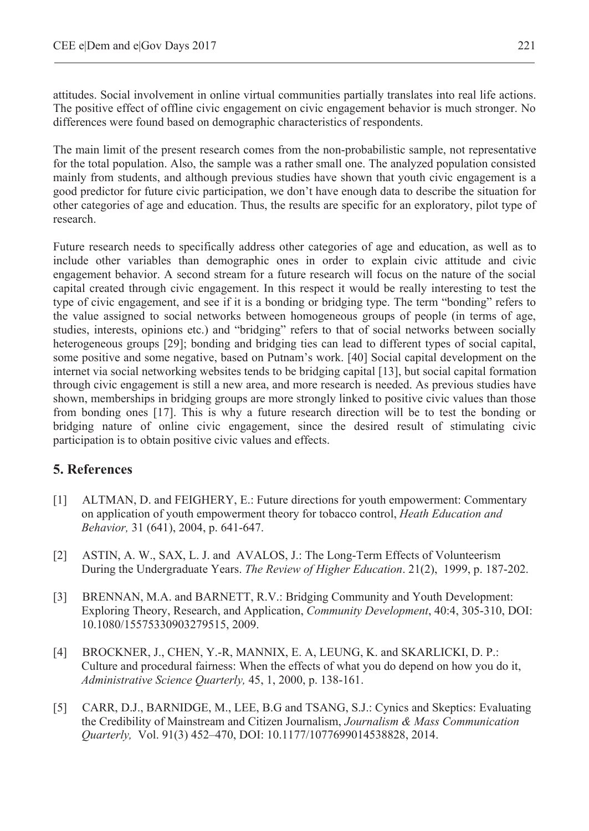attitudes. Social involvement in online virtual communities partially translates into real life actions. The positive effect of offline civic engagement on civic engagement behavior is much stronger. No differences were found based on demographic characteristics of respondents.

The main limit of the present research comes from the non-probabilistic sample, not representative for the total population. Also, the sample was a rather small one. The analyzed population consisted mainly from students, and although previous studies have shown that youth civic engagement is a good predictor for future civic participation, we don't have enough data to describe the situation for other categories of age and education. Thus, the results are specific for an exploratory, pilot type of research.

Future research needs to specifically address other categories of age and education, as well as to include other variables than demographic ones in order to explain civic attitude and civic engagement behavior. A second stream for a future research will focus on the nature of the social capital created through civic engagement. In this respect it would be really interesting to test the type of civic engagement, and see if it is a bonding or bridging type. The term "bonding" refers to the value assigned to social networks between homogeneous groups of people (in terms of age, studies, interests, opinions etc.) and "bridging" refers to that of social networks between socially heterogeneous groups [29]; bonding and bridging ties can lead to different types of social capital, some positive and some negative, based on Putnam's work. [40] Social capital development on the internet via social networking websites tends to be bridging capital [13], but social capital formation through civic engagement is still a new area, and more research is needed. As previous studies have shown, memberships in bridging groups are more strongly linked to positive civic values than those from bonding ones [17]. This is why a future research direction will be to test the bonding or bridging nature of online civic engagement, since the desired result of stimulating civic participation is to obtain positive civic values and effects.

## **5. References**

- [1] ALTMAN, D. and FEIGHERY, E.: Future directions for youth empowerment: Commentary on application of youth empowerment theory for tobacco control, *Heath Education and Behavior,* 31 (641), 2004, p. 641-647.
- [2] ASTIN, A. W., SAX, L. J. and AVALOS, J.: The Long-Term Effects of Volunteerism During the Undergraduate Years. *The Review of Higher Education*. 21(2), 1999, p. 187-202.
- [3] BRENNAN, M.A. and BARNETT, R.V.: Bridging Community and Youth Development: Exploring Theory, Research, and Application, *Community Development*, 40:4, 305-310, DOI: 10.1080/15575330903279515, 2009.
- [4] BROCKNER, J., CHEN, Y.-R, MANNIX, E. A, LEUNG, K. and SKARLICKI, D. P.: Culture and procedural fairness: When the effects of what you do depend on how you do it, *Administrative Science Quarterly,* 45, 1, 2000, p. 138-161.
- [5] CARR, D.J., BARNIDGE, M., LEE, B.G and TSANG, S.J.: Cynics and Skeptics: Evaluating the Credibility of Mainstream and Citizen Journalism, *Journalism & Mass Communication Quarterly,* Vol. 91(3) 452–470, DOI: 10.1177/1077699014538828, 2014.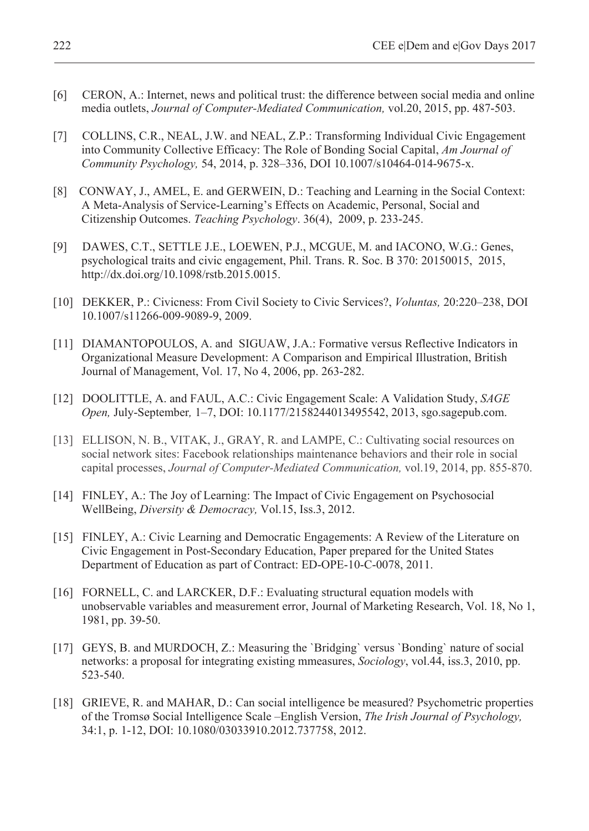- [6] CERON, A.: Internet, news and political trust: the difference between social media and online media outlets, *Journal of Computer-Mediated Communication,* vol.20, 2015, pp. 487-503.
- [7] COLLINS, C.R., NEAL, J.W. and NEAL, Z.P.: Transforming Individual Civic Engagement into Community Collective Efficacy: The Role of Bonding Social Capital, *Am Journal of Community Psychology,* 54, 2014, p. 328–336, DOI 10.1007/s10464-014-9675-x.
- [8] CONWAY, J., AMEL, E. and GERWEIN, D.: Teaching and Learning in the Social Context: A Meta-Analysis of Service-Learning's Effects on Academic, Personal, Social and Citizenship Outcomes. *Teaching Psychology*. 36(4), 2009, p. 233-245.
- [9] DAWES, C.T., SETTLE J.E., LOEWEN, P.J., MCGUE, M. and IACONO, W.G.: Genes, psychological traits and civic engagement, Phil. Trans. R. Soc. B 370: 20150015, 2015, http://dx.doi.org/10.1098/rstb.2015.0015.
- [10] DEKKER, P.: Civicness: From Civil Society to Civic Services?, *Voluntas,* 20:220–238, DOI 10.1007/s11266-009-9089-9, 2009.
- [11] DIAMANTOPOULOS, A. and SIGUAW, J.A.: Formative versus Reflective Indicators in Organizational Measure Development: A Comparison and Empirical Illustration, British Journal of Management, Vol. 17, No 4, 2006, pp. 263-282.
- [12] DOOLITTLE, A. and FAUL, A.C.: Civic Engagement Scale: A Validation Study, *SAGE Open,* July-September*,* 1–7, DOI: 10.1177/2158244013495542, 2013, sgo.sagepub.com.
- [13] ELLISON, N. B., VITAK, J., GRAY, R. and LAMPE, C.: Cultivating social resources on social network sites: Facebook relationships maintenance behaviors and their role in social capital processes, *Journal of Computer-Mediated Communication,* vol.19, 2014, pp. 855-870.
- [14] FINLEY, A.: The Joy of Learning: The Impact of Civic Engagement on Psychosocial WellBeing, *Diversity & Democracy,* Vol.15, Iss.3, 2012.
- [15] FINLEY, A.: Civic Learning and Democratic Engagements: A Review of the Literature on Civic Engagement in Post-Secondary Education, Paper prepared for the United States Department of Education as part of Contract: ED-OPE-10-C-0078, 2011.
- [16] FORNELL, C. and LARCKER, D.F.: Evaluating structural equation models with unobservable variables and measurement error, Journal of Marketing Research, Vol. 18, No 1, 1981, pp. 39-50.
- [17] GEYS, B. and MURDOCH, Z.: Measuring the 'Bridging' versus 'Bonding' nature of social networks: a proposal for integrating existing mmeasures, *Sociology*, vol.44, iss.3, 2010, pp. 523-540.
- [18] GRIEVE, R. and MAHAR, D.: Can social intelligence be measured? Psychometric properties of the Tromsø Social Intelligence Scale –English Version, *The Irish Journal of Psychology,*  34:1, p. 1-12, DOI: 10.1080/03033910.2012.737758, 2012.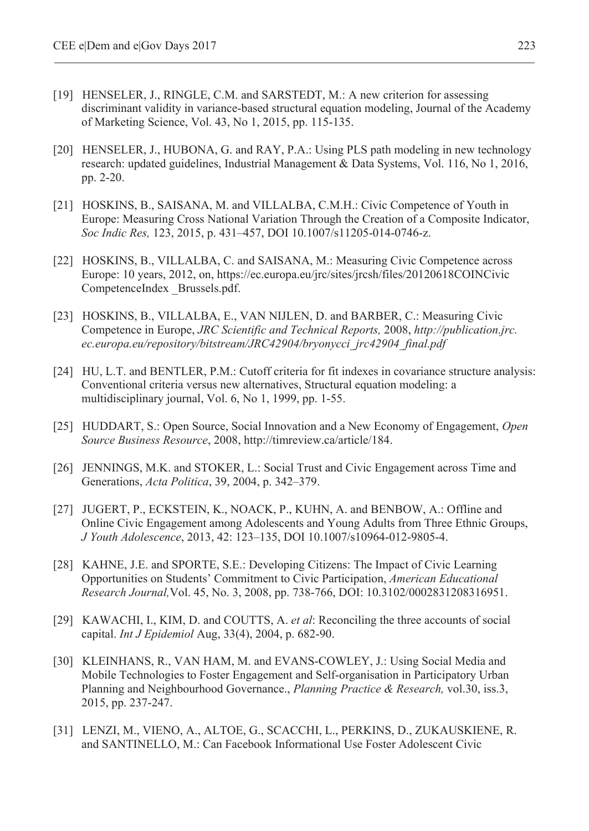- [19] HENSELER, J., RINGLE, C.M. and SARSTEDT, M.: A new criterion for assessing discriminant validity in variance-based structural equation modeling, Journal of the Academy of Marketing Science, Vol. 43, No 1, 2015, pp. 115-135.
- [20] HENSELER, J., HUBONA, G. and RAY, P.A.: Using PLS path modeling in new technology research: updated guidelines, Industrial Management & Data Systems, Vol. 116, No 1, 2016, pp. 2-20.
- [21] HOSKINS, B., SAISANA, M. and VILLALBA, C.M.H.: Civic Competence of Youth in Europe: Measuring Cross National Variation Through the Creation of a Composite Indicator, *Soc Indic Res,* 123, 2015, p. 431–457, DOI 10.1007/s11205-014-0746-z.
- [22] HOSKINS, B., VILLALBA, C. and SAISANA, M.: Measuring Civic Competence across Europe: 10 years, 2012, on, https://ec.europa.eu/jrc/sites/jrcsh/files/20120618COINCivic CompetenceIndex \_Brussels.pdf.
- [23] HOSKINS, B., VILLALBA, E., VAN NIJLEN, D. and BARBER, C.: Measuring Civic Competence in Europe, *JRC Scientific and Technical Reports,* 2008, *http://publication.jrc. ec.europa.eu/repository/bitstream/JRC42904/bryonycci\_jrc42904\_final.pdf*
- [24] HU, L.T. and BENTLER, P.M.: Cutoff criteria for fit indexes in covariance structure analysis: Conventional criteria versus new alternatives, Structural equation modeling: a multidisciplinary journal, Vol. 6, No 1, 1999, pp. 1-55.
- [25] HUDDART, S.: Open Source, Social Innovation and a New Economy of Engagement, *Open Source Business Resource*, 2008, http://timreview.ca/article/184.
- [26] JENNINGS, M.K. and STOKER, L.: Social Trust and Civic Engagement across Time and Generations, *Acta Politica*, 39, 2004, p. 342–379.
- [27] JUGERT, P., ECKSTEIN, K., NOACK, P., KUHN, A. and BENBOW, A.: Offline and Online Civic Engagement among Adolescents and Young Adults from Three Ethnic Groups, *J Youth Adolescence*, 2013, 42: 123–135, DOI 10.1007/s10964-012-9805-4.
- [28] KAHNE, J.E. and SPORTE, S.E.: Developing Citizens: The Impact of Civic Learning Opportunities on Students' Commitment to Civic Participation, *American Educational Research Journal,*Vol. 45, No. 3, 2008, pp. 738-766, DOI: 10.3102/0002831208316951.
- [29] KAWACHI, I., KIM, D. and COUTTS, A. *et al*: Reconciling the three accounts of social capital. *Int J Epidemiol* Aug, 33(4), 2004, p. 682-90.
- [30] KLEINHANS, R., VAN HAM, M. and EVANS-COWLEY, J.: Using Social Media and Mobile Technologies to Foster Engagement and Self-organisation in Participatory Urban Planning and Neighbourhood Governance., *Planning Practice & Research,* vol.30, iss.3, 2015, pp. 237-247.
- [31] LENZI, M., VIENO, A., ALTOE, G., SCACCHI, L., PERKINS, D., ZUKAUSKIENE, R. and SANTINELLO, M.: Can Facebook Informational Use Foster Adolescent Civic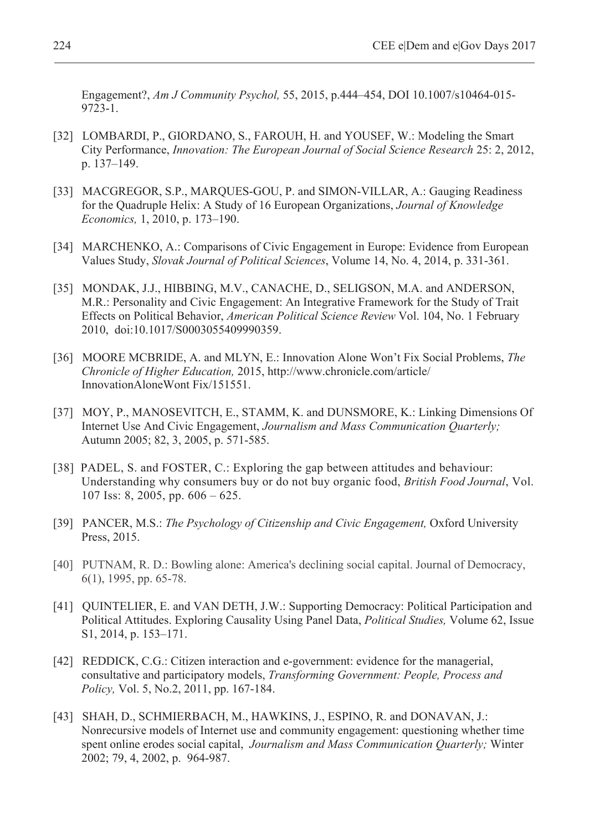Engagement?, *Am J Community Psychol,* 55, 2015, p.444–454, DOI 10.1007/s10464-015- 9723-1.

- [32] LOMBARDI, P., GIORDANO, S., FAROUH, H. and YOUSEF, W.: Modeling the Smart City Performance, *Innovation: The European Journal of Social Science Research* 25: 2, 2012, p. 137–149.
- [33] MACGREGOR, S.P., MARQUES-GOU, P. and SIMON-VILLAR, A.: Gauging Readiness for the Quadruple Helix: A Study of 16 European Organizations, *Journal of Knowledge Economics,* 1, 2010, p. 173–190.
- [34] MARCHENKO, A.: Comparisons of Civic Engagement in Europe: Evidence from European Values Study, *Slovak Journal of Political Sciences*, Volume 14, No. 4, 2014, p. 331-361.
- [35] MONDAK, J.J., HIBBING, M.V., CANACHE, D., SELIGSON, M.A. and ANDERSON, M.R.: Personality and Civic Engagement: An Integrative Framework for the Study of Trait Effects on Political Behavior, *American Political Science Review* Vol. 104, No. 1 February 2010, doi:10.1017/S0003055409990359.
- [36] MOORE MCBRIDE, A. and MLYN, E.: Innovation Alone Won't Fix Social Problems, *The Chronicle of Higher Education,* 2015, http://www.chronicle.com/article/ InnovationAloneWont Fix/151551.
- [37] MOY, P., MANOSEVITCH, E., STAMM, K. and DUNSMORE, K.: Linking Dimensions Of Internet Use And Civic Engagement, *Journalism and Mass Communication Quarterly;*  Autumn 2005; 82, 3, 2005, p. 571-585.
- [38] PADEL, S. and FOSTER, C.: Exploring the gap between attitudes and behaviour: Understanding why consumers buy or do not buy organic food, *British Food Journal*, Vol. 107 Iss: 8, 2005, pp. 606 – 625.
- [39] PANCER, M.S.: *The Psychology of Citizenship and Civic Engagement*, Oxford University Press, 2015.
- [40] PUTNAM, R. D.: Bowling alone: America's declining social capital. Journal of Democracy, 6(1), 1995, pp. 65-78.
- [41] QUINTELIER, E. and VAN DETH, J.W.: Supporting Democracy: Political Participation and Political Attitudes. Exploring Causality Using Panel Data, *Political Studies,* Volume 62, Issue S1, 2014, p. 153–171.
- [42] REDDICK, C.G.: Citizen interaction and e-government: evidence for the managerial, consultative and participatory models, *Transforming Government: People, Process and Policy,* Vol. 5, No.2, 2011, pp. 167-184.
- [43] SHAH, D., SCHMIERBACH, M., HAWKINS, J., ESPINO, R. and DONAVAN, J.: Nonrecursive models of Internet use and community engagement: questioning whether time spent online erodes social capital, *Journalism and Mass Communication Quarterly;* Winter 2002; 79, 4, 2002, p. 964-987.